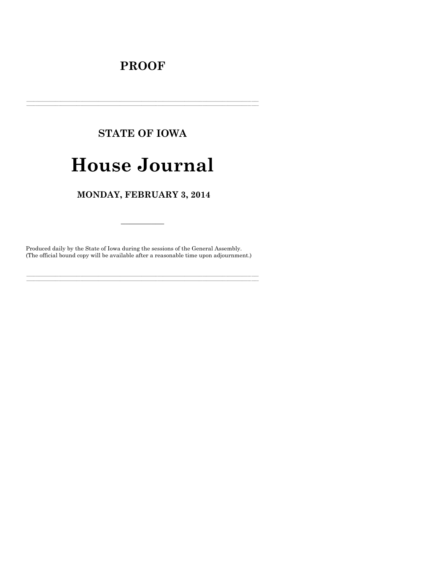# **PROOF**

# **STATE OF IOWA**

# **House Journal**

# MONDAY, FEBRUARY 3, 2014

Produced daily by the State of Iowa during the sessions of the General Assembly. (The official bound copy will be available after a reasonable time upon adjournment.)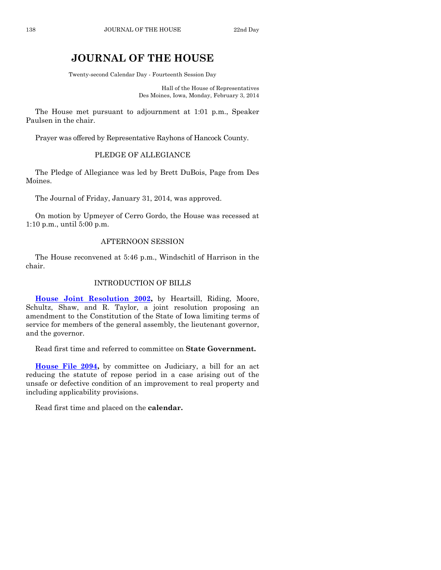# **JOURNAL OF THE HOUSE**

Twenty-second Calendar Day - Fourteenth Session Day

Hall of the House of Representatives Des Moines, Iowa, Monday, February 3, 2014

The House met pursuant to adjournment at 1:01 p.m., Speaker Paulsen in the chair.

Prayer was offered by Representative Rayhons of Hancock County.

# PLEDGE OF ALLEGIANCE

The Pledge of Allegiance was led by Brett DuBois, Page from Des Moines.

The Journal of Friday, January 31, 2014, was approved.

On motion by Upmeyer of Cerro Gordo, the House was recessed at 1:10 p.m., until 5:00 p.m.

## AFTERNOON SESSION

The House reconvened at 5:46 p.m., Windschitl of Harrison in the chair.

#### INTRODUCTION OF BILLS

**[House Joint Resolution 2002,](http://coolice.legis.iowa.gov/Cool-ICE/default.asp?Category=billinfo&Service=Billbook&frame=1&GA=85&hbill=HJR2002)** by Heartsill, Riding, Moore, Schultz, Shaw, and R. Taylor, a joint resolution proposing an amendment to the Constitution of the State of Iowa limiting terms of service for members of the general assembly, the lieutenant governor, and the governor.

Read first time and referred to committee on **State Government.**

**[House File 2094,](http://coolice.legis.iowa.gov/Cool-ICE/default.asp?Category=billinfo&Service=Billbook&frame=1&GA=85&hbill=HF2094)** by committee on Judiciary, a bill for an act reducing the statute of repose period in a case arising out of the unsafe or defective condition of an improvement to real property and including applicability provisions.

Read first time and placed on the **calendar.**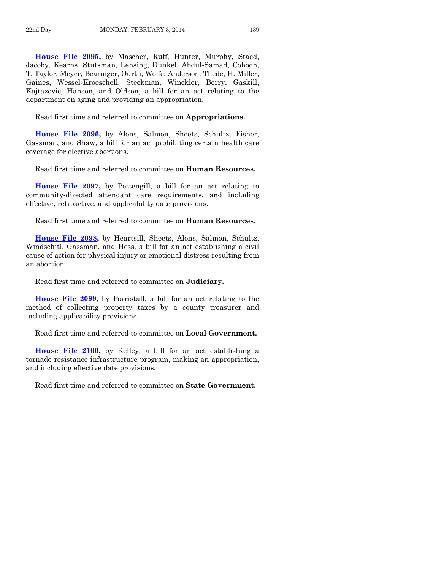**[House File 2095,](http://coolice.legis.iowa.gov/Cool-ICE/default.asp?Category=billinfo&Service=Billbook&frame=1&GA=85&hbill=HF2095)** by Mascher, Ruff, Hunter, Murphy, Staed, Jacoby, Kearns, Stutsman, Lensing, Dunkel, Abdul-Samad, Cohoon, T. Taylor, Meyer, Bearinger, Ourth, Wolfe, Anderson, Thede, H. Miller, Gaines, Wessel-Kroeschell, Steckman, Winckler, Berry, Gaskill, Kajtazovic, Hanson, and Oldson, a bill for an act relating to the department on aging and providing an appropriation.

Read first time and referred to committee on **Appropriations.**

**[House File 2096,](http://coolice.legis.iowa.gov/Cool-ICE/default.asp?Category=billinfo&Service=Billbook&frame=1&GA=85&hbill=HF2096)** by Alons, Salmon, Sheets, Schultz, Fisher, Gassman, and Shaw, a bill for an act prohibiting certain health care coverage for elective abortions.

Read first time and referred to committee on **Human Resources.**

**[House File 2097,](http://coolice.legis.iowa.gov/Cool-ICE/default.asp?Category=billinfo&Service=Billbook&frame=1&GA=85&hbill=HF2097)** by Pettengill, a bill for an act relating to community-directed attendant care requirements, and including effective, retroactive, and applicability date provisions.

Read first time and referred to committee on **Human Resources.**

**[House File 2098,](http://coolice.legis.iowa.gov/Cool-ICE/default.asp?Category=billinfo&Service=Billbook&frame=1&GA=85&hbill=HF2098)** by Heartsill, Sheets, Alons, Salmon, Schultz, Windschitl, Gassman, and Hess, a bill for an act establishing a civil cause of action for physical injury or emotional distress resulting from an abortion.

Read first time and referred to committee on **Judiciary.**

**[House File 2099,](http://coolice.legis.iowa.gov/Cool-ICE/default.asp?Category=billinfo&Service=Billbook&frame=1&GA=85&hbill=HF2099)** by Forristall, a bill for an act relating to the method of collecting property taxes by a county treasurer and including applicability provisions.

Read first time and referred to committee on **Local Government.**

**[House File 2100,](http://coolice.legis.iowa.gov/Cool-ICE/default.asp?Category=billinfo&Service=Billbook&frame=1&GA=85&hbill=HF2100)** by Kelley, a bill for an act establishing a tornado resistance infrastructure program, making an appropriation, and including effective date provisions.

Read first time and referred to committee on **State Government.**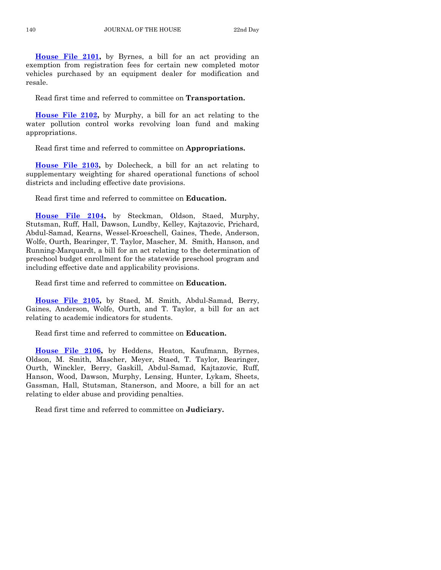**[House File 2101,](http://coolice.legis.iowa.gov/Cool-ICE/default.asp?Category=billinfo&Service=Billbook&frame=1&GA=85&hbill=HF2101)** by Byrnes, a bill for an act providing an exemption from registration fees for certain new completed motor vehicles purchased by an equipment dealer for modification and resale.

Read first time and referred to committee on **Transportation.**

**[House File 2102,](http://coolice.legis.iowa.gov/Cool-ICE/default.asp?Category=billinfo&Service=Billbook&frame=1&GA=85&hbill=HF2102)** by Murphy, a bill for an act relating to the water pollution control works revolving loan fund and making appropriations.

Read first time and referred to committee on **Appropriations.**

**[House File 2103,](http://coolice.legis.iowa.gov/Cool-ICE/default.asp?Category=billinfo&Service=Billbook&frame=1&GA=85&hbill=HF2103)** by Dolecheck, a bill for an act relating to supplementary weighting for shared operational functions of school districts and including effective date provisions.

Read first time and referred to committee on **Education.**

**[House File 2104,](http://coolice.legis.iowa.gov/Cool-ICE/default.asp?Category=billinfo&Service=Billbook&frame=1&GA=85&hbill=HF2104)** by Steckman, Oldson, Staed, Murphy, Stutsman, Ruff, Hall, Dawson, Lundby, Kelley, Kajtazovic, Prichard, Abdul-Samad, Kearns, Wessel-Kroeschell, Gaines, Thede, Anderson, Wolfe, Ourth, Bearinger, T. Taylor, Mascher, M. Smith, Hanson, and Running-Marquardt, a bill for an act relating to the determination of preschool budget enrollment for the statewide preschool program and including effective date and applicability provisions.

Read first time and referred to committee on **Education.**

**[House File 2105,](http://coolice.legis.iowa.gov/Cool-ICE/default.asp?Category=billinfo&Service=Billbook&frame=1&GA=85&hbill=HF2105)** by Staed, M. Smith, Abdul-Samad, Berry, Gaines, Anderson, Wolfe, Ourth, and T. Taylor, a bill for an act relating to academic indicators for students.

Read first time and referred to committee on **Education.**

**[House File 2106,](http://coolice.legis.iowa.gov/Cool-ICE/default.asp?Category=billinfo&Service=Billbook&frame=1&GA=85&hbill=HF2106)** by Heddens, Heaton, Kaufmann, Byrnes, Oldson, M. Smith, Mascher, Meyer, Staed, T. Taylor, Bearinger, Ourth, Winckler, Berry, Gaskill, Abdul-Samad, Kajtazovic, Ruff, Hanson, Wood, Dawson, Murphy, Lensing, Hunter, Lykam, Sheets, Gassman, Hall, Stutsman, Stanerson, and Moore, a bill for an act relating to elder abuse and providing penalties.

Read first time and referred to committee on **Judiciary.**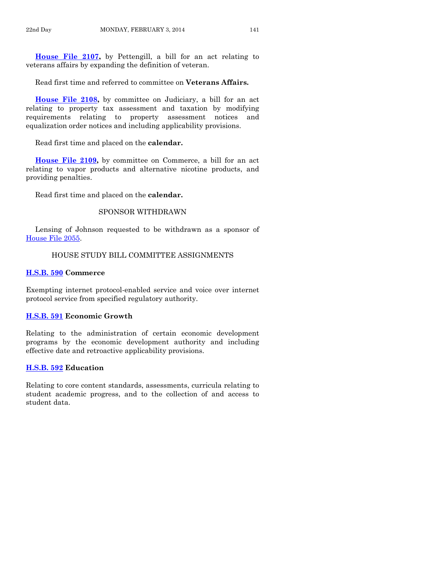**[House File 2107,](http://coolice.legis.iowa.gov/Cool-ICE/default.asp?Category=billinfo&Service=Billbook&frame=1&GA=85&hbill=HF2107)** by Pettengill, a bill for an act relating to veterans affairs by expanding the definition of veteran.

Read first time and referred to committee on **Veterans Affairs.**

**[House File 2108,](http://coolice.legis.iowa.gov/Cool-ICE/default.asp?Category=billinfo&Service=Billbook&frame=1&GA=85&hbill=HF2108)** by committee on Judiciary, a bill for an act relating to property tax assessment and taxation by modifying requirements relating to property assessment notices and equalization order notices and including applicability provisions.

Read first time and placed on the **calendar.**

**[House File 2109,](http://coolice.legis.iowa.gov/Cool-ICE/default.asp?Category=billinfo&Service=Billbook&frame=1&GA=85&hbill=HF2109)** by committee on Commerce, a bill for an act relating to vapor products and alternative nicotine products, and providing penalties.

Read first time and placed on the **calendar.**

#### SPONSOR WITHDRAWN

Lensing of Johnson requested to be withdrawn as a sponsor of [House File 2055.](http://coolice.legis.iowa.gov/Cool-ICE/default.asp?Category=billinfo&Service=Billbook&frame=1&GA=85&hbill=HF2055)

## HOUSE STUDY BILL COMMITTEE ASSIGNMENTS

#### **[H.S.B. 590](http://coolice.legis.iowa.gov/Cool-ICE/default.asp?Category=billinfo&Service=Billbook&frame=1&GA=85&hbill=HSB590) Commerce**

Exempting internet protocol-enabled service and voice over internet protocol service from specified regulatory authority.

#### **[H.S.B. 591](http://coolice.legis.iowa.gov/Cool-ICE/default.asp?Category=billinfo&Service=Billbook&frame=1&GA=85&hbill=HSB591) Economic Growth**

Relating to the administration of certain economic development programs by the economic development authority and including effective date and retroactive applicability provisions.

## **[H.S.B. 592](http://coolice.legis.iowa.gov/Cool-ICE/default.asp?Category=billinfo&Service=Billbook&frame=1&GA=85&hbill=HSB592) Education**

Relating to core content standards, assessments, curricula relating to student academic progress, and to the collection of and access to student data.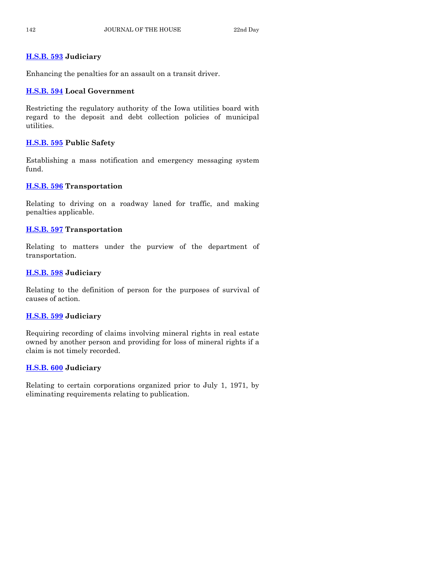# **[H.S.B. 593](http://coolice.legis.iowa.gov/Cool-ICE/default.asp?Category=billinfo&Service=Billbook&frame=1&GA=85&hbill=HSB593) Judiciary**

Enhancing the penalties for an assault on a transit driver.

# **[H.S.B. 594](http://coolice.legis.iowa.gov/Cool-ICE/default.asp?Category=billinfo&Service=Billbook&frame=1&GA=85&hbill=HSB594) Local Government**

Restricting the regulatory authority of the Iowa utilities board with regard to the deposit and debt collection policies of municipal utilities.

# **[H.S.B. 595](http://coolice.legis.iowa.gov/Cool-ICE/default.asp?Category=billinfo&Service=Billbook&frame=1&GA=85&hbill=HSB595) Public Safety**

Establishing a mass notification and emergency messaging system fund.

# **[H.S.B. 596](http://coolice.legis.iowa.gov/Cool-ICE/default.asp?Category=billinfo&Service=Billbook&frame=1&GA=85&hbill=HSB596) Transportation**

Relating to driving on a roadway laned for traffic, and making penalties applicable.

# **[H.S.B. 597](http://coolice.legis.iowa.gov/Cool-ICE/default.asp?Category=billinfo&Service=Billbook&frame=1&GA=85&hbill=HSB597) Transportation**

Relating to matters under the purview of the department of transportation.

# **[H.S.B. 598](http://coolice.legis.iowa.gov/Cool-ICE/default.asp?Category=billinfo&Service=Billbook&frame=1&GA=85&hbill=HSB598) Judiciary**

Relating to the definition of person for the purposes of survival of causes of action.

# **[H.S.B. 599](http://coolice.legis.iowa.gov/Cool-ICE/default.asp?Category=billinfo&Service=Billbook&frame=1&GA=85&hbill=HSB599) Judiciary**

Requiring recording of claims involving mineral rights in real estate owned by another person and providing for loss of mineral rights if a claim is not timely recorded.

# **[H.S.B. 600](http://coolice.legis.iowa.gov/Cool-ICE/default.asp?Category=billinfo&Service=Billbook&frame=1&GA=85&hbill=HSB600) Judiciary**

Relating to certain corporations organized prior to July 1, 1971, by eliminating requirements relating to publication.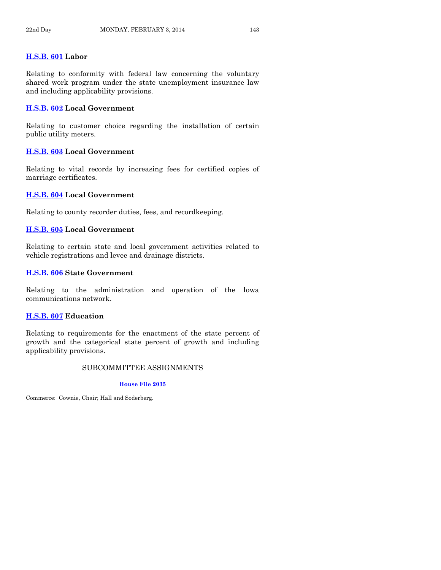# **[H.S.B. 601](http://coolice.legis.iowa.gov/Cool-ICE/default.asp?Category=billinfo&Service=Billbook&frame=1&GA=85&hbill=HSB601) Labor**

Relating to conformity with federal law concerning the voluntary shared work program under the state unemployment insurance law and including applicability provisions.

#### **[H.S.B. 602](http://coolice.legis.iowa.gov/Cool-ICE/default.asp?Category=billinfo&Service=Billbook&frame=1&GA=85&hbill=HSB602) Local Government**

Relating to customer choice regarding the installation of certain public utility meters.

#### **[H.S.B. 603](http://coolice.legis.iowa.gov/Cool-ICE/default.asp?Category=billinfo&Service=Billbook&frame=1&GA=85&hbill=HSB603) Local Government**

Relating to vital records by increasing fees for certified copies of marriage certificates.

#### **[H.S.B. 604](http://coolice.legis.iowa.gov/Cool-ICE/default.asp?Category=billinfo&Service=Billbook&frame=1&GA=85&hbill=HSB604) Local Government**

Relating to county recorder duties, fees, and recordkeeping.

# **[H.S.B. 605](http://coolice.legis.iowa.gov/Cool-ICE/default.asp?Category=billinfo&Service=Billbook&frame=1&GA=85&hbill=HSB605) Local Government**

Relating to certain state and local government activities related to vehicle registrations and levee and drainage districts.

#### **[H.S.B. 606](http://coolice.legis.iowa.gov/Cool-ICE/default.asp?Category=billinfo&Service=Billbook&frame=1&GA=85&hbill=HSB606) State Government**

Relating to the administration and operation of the Iowa communications network.

#### **[H.S.B. 607](http://coolice.legis.iowa.gov/Cool-ICE/default.asp?Category=billinfo&Service=Billbook&frame=1&GA=85&hbill=HSB607) Education**

Relating to requirements for the enactment of the state percent of growth and the categorical state percent of growth and including applicability provisions.

# SUBCOMMITTEE ASSIGNMENTS

#### **[House File 2035](http://coolice.legis.iowa.gov/Cool-ICE/default.asp?Category=billinfo&Service=Billbook&frame=1&GA=85&hbill=HF2035)**

Commerce: Cownie, Chair; Hall and Soderberg.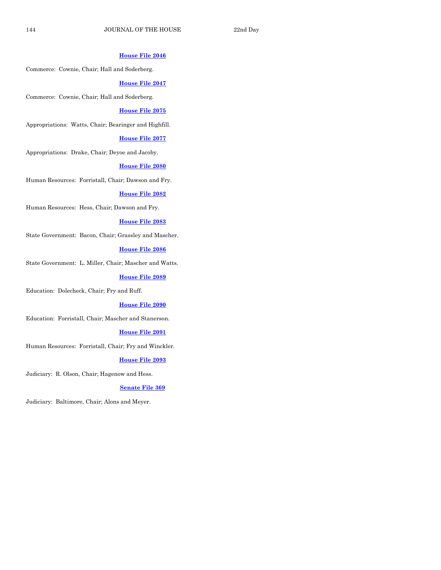#### **[House File 2046](http://coolice.legis.iowa.gov/Cool-ICE/default.asp?Category=billinfo&Service=Billbook&frame=1&GA=85&hbill=HF2046)**

Commerce: Cownie, Chair; Hall and Soderberg.

#### **[House File 2047](http://coolice.legis.iowa.gov/Cool-ICE/default.asp?Category=billinfo&Service=Billbook&frame=1&GA=85&hbill=HF2047)**

Commerce: Cownie, Chair; Hall and Soderberg.

#### **[House File 2075](http://coolice.legis.iowa.gov/Cool-ICE/default.asp?Category=billinfo&Service=Billbook&frame=1&GA=85&hbill=HF2075)**

Appropriations: Watts, Chair; Bearinger and Highfill.

#### **[House File 2077](http://coolice.legis.iowa.gov/Cool-ICE/default.asp?Category=billinfo&Service=Billbook&frame=1&GA=85&hbill=HF2077)**

Appropriations: Drake, Chair; Deyoe and Jacoby.

#### **[House File 2080](http://coolice.legis.iowa.gov/Cool-ICE/default.asp?Category=billinfo&Service=Billbook&frame=1&GA=85&hbill=HF2080)**

Human Resources: Forristall, Chair; Dawson and Fry.

#### **[House File 2082](http://coolice.legis.iowa.gov/Cool-ICE/default.asp?Category=billinfo&Service=Billbook&frame=1&GA=85&hbill=HF2082)**

Human Resources: Hess, Chair; Dawson and Fry.

#### **[House File 2083](http://coolice.legis.iowa.gov/Cool-ICE/default.asp?Category=billinfo&Service=Billbook&frame=1&GA=85&hbill=HF2083)**

State Government: Bacon, Chair; Grassley and Mascher.

# **[House File 2086](http://coolice.legis.iowa.gov/Cool-ICE/default.asp?Category=billinfo&Service=Billbook&frame=1&GA=85&hbill=HF2086)**

State Government: L. Miller, Chair; Mascher and Watts.

#### **[House File 2089](http://coolice.legis.iowa.gov/Cool-ICE/default.asp?Category=billinfo&Service=Billbook&frame=1&GA=85&hbill=HF2089)**

Education: Dolecheck, Chair; Fry and Ruff.

#### **[House File 2090](http://coolice.legis.iowa.gov/Cool-ICE/default.asp?Category=billinfo&Service=Billbook&frame=1&GA=85&hbill=HF2090)**

Education: Forristall, Chair; Mascher and Stanerson.

## **[House File 2091](http://coolice.legis.iowa.gov/Cool-ICE/default.asp?Category=billinfo&Service=Billbook&frame=1&GA=85&hbill=HF2091)**

Human Resources: Forristall, Chair; Fry and Winckler.

#### **[House File 2093](http://coolice.legis.iowa.gov/Cool-ICE/default.asp?Category=billinfo&Service=Billbook&frame=1&GA=85&hbill=HF2093)**

Judiciary: R. Olson, Chair; Hagenow and Hess.

#### **[Senate File 369](http://coolice.legis.iowa.gov/Cool-ICE/default.asp?Category=billinfo&Service=Billbook&frame=1&GA=85&hbill=SF369)**

Judiciary: Baltimore, Chair; Alons and Meyer.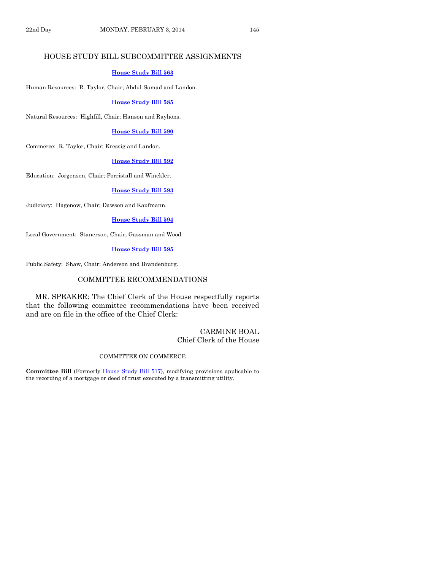# HOUSE STUDY BILL SUBCOMMITTEE ASSIGNMENTS

#### **[House Study Bill](http://coolice.legis.iowa.gov/Cool-ICE/default.asp?Category=billinfo&Service=Billbook&frame=1&GA=85&hbill=HSB563) 563**

Human Resources: R. Taylor, Chair; Abdul-Samad and Landon.

#### **[House Study Bill 585](http://coolice.legis.iowa.gov/Cool-ICE/default.asp?Category=billinfo&Service=Billbook&frame=1&GA=85&hbill=HSB585)**

Natural Resources: Highfill, Chair; Hanson and Rayhons.

#### **[House Study Bill 590](http://coolice.legis.iowa.gov/Cool-ICE/default.asp?Category=billinfo&Service=Billbook&frame=1&GA=85&hbill=HSB590)**

Commerce: R. Taylor, Chair; Kressig and Landon.

#### **[House Study Bill 592](http://coolice.legis.iowa.gov/Cool-ICE/default.asp?Category=billinfo&Service=Billbook&frame=1&GA=85&hbill=HSB592)**

Education: Jorgensen, Chair; Forristall and Winckler.

## **[House Study Bill 593](http://coolice.legis.iowa.gov/Cool-ICE/default.asp?Category=billinfo&Service=Billbook&frame=1&GA=85&hbill=HSB593)**

Judiciary: Hagenow, Chair; Dawson and Kaufmann.

#### **[House Study Bill 594](http://coolice.legis.iowa.gov/Cool-ICE/default.asp?Category=billinfo&Service=Billbook&frame=1&GA=85&hbill=HSB594)**

Local Government: Stanerson, Chair; Gassman and Wood.

# **[House Study Bill 595](http://coolice.legis.iowa.gov/Cool-ICE/default.asp?Category=billinfo&Service=Billbook&frame=1&GA=85&hbill=HSB595)**

Public Safety: Shaw, Chair; Anderson and Brandenburg.

#### COMMITTEE RECOMMENDATIONS

MR. SPEAKER: The Chief Clerk of the House respectfully reports that the following committee recommendations have been received and are on file in the office of the Chief Clerk:

## CARMINE BOAL Chief Clerk of the House

#### COMMITTEE ON COMMERCE

**Committee Bill** (Formerly [House Study Bill 517\)](http://coolice.legis.iowa.gov/Cool-ICE/default.asp?Category=billinfo&Service=Billbook&frame=1&GA=85&hbill=HSB517), modifying provisions applicable to the recording of a mortgage or deed of trust executed by a transmitting utility.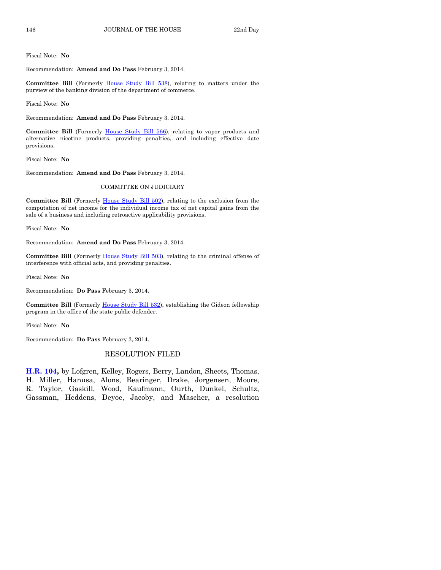Fiscal Note: **No**

Recommendation: **Amend and Do Pass** February 3, 2014.

**Committee Bill** (Formerly [House Study Bill 538\)](http://coolice.legis.iowa.gov/Cool-ICE/default.asp?Category=billinfo&Service=Billbook&frame=1&GA=85&hbill=HSB538), relating to matters under the purview of the banking division of the department of commerce.

Fiscal Note: **No**

Recommendation: **Amend and Do Pass** February 3, 2014.

Committee Bill (Formerly [House Study Bill 566\)](http://coolice.legis.iowa.gov/Cool-ICE/default.asp?Category=billinfo&Service=Billbook&frame=1&GA=85&hbill=HSB566), relating to vapor products and alternative nicotine products, providing penalties, and including effective date provisions.

Fiscal Note: **No**

Recommendation: **Amend and Do Pass** February 3, 2014.

#### COMMITTEE ON JUDICIARY

**Committee Bill** (Formerly [House Study](http://coolice.legis.iowa.gov/Cool-ICE/default.asp?Category=billinfo&Service=Billbook&frame=1&GA=85&hbill=HSB502) Bill 502), relating to the exclusion from the computation of net income for the individual income tax of net capital gains from the sale of a business and including retroactive applicability provisions.

Fiscal Note: **No**

Recommendation: **Amend and Do Pass** February 3, 2014.

**Committee Bill** (Formerly [House Study Bill 503\)](http://coolice.legis.iowa.gov/Cool-ICE/default.asp?Category=billinfo&Service=Billbook&frame=1&GA=85&hbill=HSB503), relating to the criminal offense of interference with official acts, and providing penalties.

Fiscal Note: **No**

Recommendation: **Do Pass** February 3, 2014.

Committee Bill (Formerly [House Study Bill 532\)](http://coolice.legis.iowa.gov/Cool-ICE/default.asp?Category=billinfo&Service=Billbook&frame=1&GA=85&hbill=HSB532), establishing the Gideon fellowship program in the office of the state public defender.

Fiscal Note: **No**

Recommendation: **Do Pass** February 3, 2014.

# RESOLUTION FILED

**[H.R. 104,](http://coolice.legis.iowa.gov/Cool-ICE/default.asp?Category=billinfo&Service=Billbook&frame=1&GA=85&hbill=HR104)** by Lofgren, Kelley, Rogers, Berry, Landon, Sheets, Thomas, H. Miller, Hanusa, Alons, Bearinger, Drake, Jorgensen, Moore, R. Taylor, Gaskill, Wood, Kaufmann, Ourth, Dunkel, Schultz, Gassman, Heddens, Deyoe, Jacoby, and Mascher, a resolution